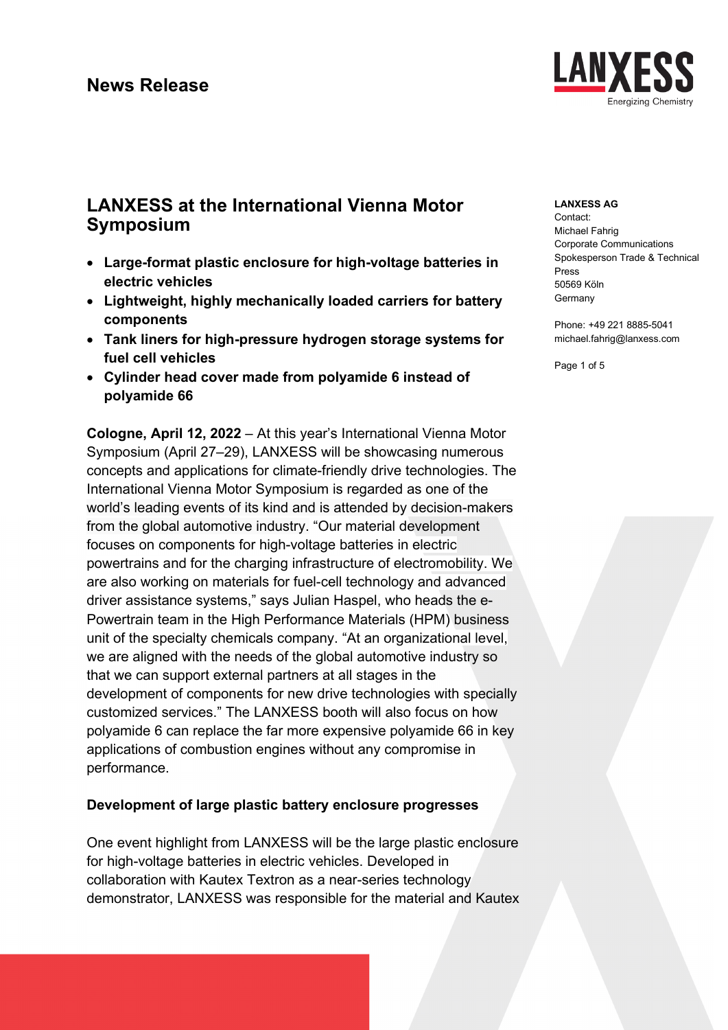

# **LANXESS at the International Vienna Motor Symposium**

- **Large-format plastic enclosure for high-voltage batteries in electric vehicles**
- **Lightweight, highly mechanically loaded carriers for battery components**
- **Tank liners for high-pressure hydrogen storage systems for fuel cell vehicles**
- **Cylinder head cover made from polyamide 6 instead of polyamide 66**

**Cologne, April 12, 2022** – At this year's International Vienna Motor Symposium (April 27–29), LANXESS will be showcasing numerous concepts and applications for climate-friendly drive technologies. The International Vienna Motor Symposium is regarded as one of the world's leading events of its kind and is attended by decision-makers from the global automotive industry. "Our material development focuses on components for high-voltage batteries in electric powertrains and for the charging infrastructure of electromobility. We are also working on materials for fuel-cell technology and advanced driver assistance systems," says Julian Haspel, who heads the e-Powertrain team in the High Performance Materials (HPM) business unit of the specialty chemicals company. "At an organizational level, we are aligned with the needs of the global automotive industry so that we can support external partners at all stages in the development of components for new drive technologies with specially customized services." The LANXESS booth will also focus on how polyamide 6 can replace the far more expensive polyamide 66 in key applications of combustion engines without any compromise in performance.

## **Development of large plastic battery enclosure progresses**

One event highlight from LANXESS will be the large plastic enclosure for high-voltage batteries in electric vehicles. Developed in collaboration with Kautex Textron as a near-series technology demonstrator, LANXESS was responsible for the material and Kautex

### **LANXESS AG**

Contact: Michael Fahrig Corporate Communications Spokesperson Trade & Technical Press 50569 Köln **Germany** 

Phone: +49 221 8885-5041 michael.fahrig@lanxess.com

Page 1 of 5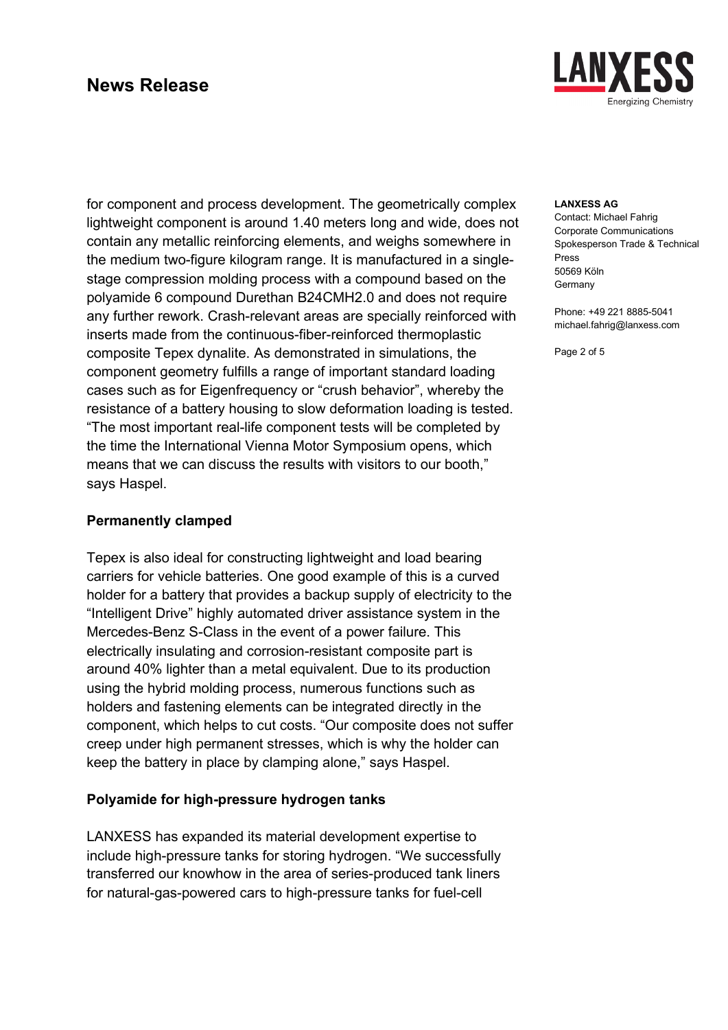

for component and process development. The geometrically complex lightweight component is around 1.40 meters long and wide, does not contain any metallic reinforcing elements, and weighs somewhere in the medium two-figure kilogram range. It is manufactured in a singlestage compression molding process with a compound based on the polyamide 6 compound Durethan B24CMH2.0 and does not require any further rework. Crash-relevant areas are specially reinforced with inserts made from the continuous-fiber-reinforced thermoplastic composite Tepex dynalite. As demonstrated in simulations, the component geometry fulfills a range of important standard loading cases such as for Eigenfrequency or "crush behavior", whereby the resistance of a battery housing to slow deformation loading is tested. "The most important real-life component tests will be completed by the time the International Vienna Motor Symposium opens, which means that we can discuss the results with visitors to our booth," says Haspel.

### **Permanently clamped**

Tepex is also ideal for constructing lightweight and load bearing carriers for vehicle batteries. One good example of this is a curved holder for a battery that provides a backup supply of electricity to the "Intelligent Drive" highly automated driver assistance system in the Mercedes-Benz S-Class in the event of a power failure. This electrically insulating and corrosion-resistant composite part is around 40% lighter than a metal equivalent. Due to its production using the hybrid molding process, numerous functions such as holders and fastening elements can be integrated directly in the component, which helps to cut costs. "Our composite does not suffer creep under high permanent stresses, which is why the holder can keep the battery in place by clamping alone," says Haspel.

### **Polyamide for high-pressure hydrogen tanks**

LANXESS has expanded its material development expertise to include high-pressure tanks for storing hydrogen. "We successfully transferred our knowhow in the area of series-produced tank liners for natural-gas-powered cars to high-pressure tanks for fuel-cell

### **LANXESS AG**

Contact: Michael Fahrig Corporate Communications Spokesperson Trade & Technical Press 50569 Köln **Germany** 

Phone: +49 221 8885-5041 michael.fahrig@lanxess.com

Page 2 of 5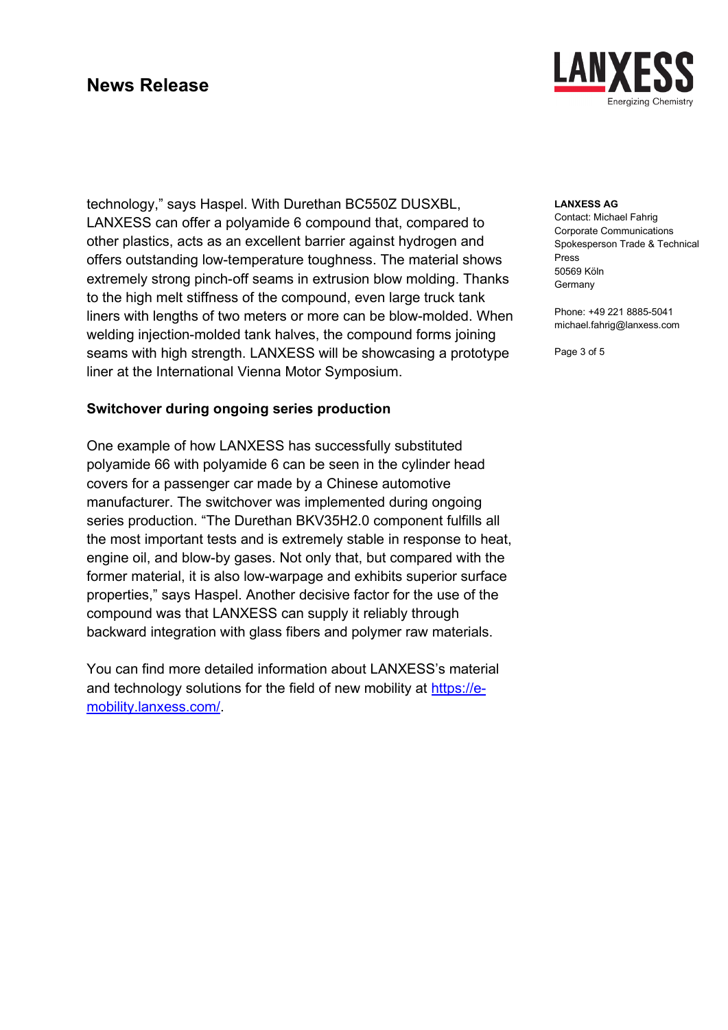technology," says Haspel. With Durethan BC550Z DUSXBL, LANXESS can offer a polyamide 6 compound that, compared to other plastics, acts as an excellent barrier against hydrogen and offers outstanding low-temperature toughness. The material shows extremely strong pinch-off seams in extrusion blow molding. Thanks to the high melt stiffness of the compound, even large truck tank liners with lengths of two meters or more can be blow-molded. When welding injection-molded tank halves, the compound forms joining seams with high strength. LANXESS will be showcasing a prototype liner at the International Vienna Motor Symposium.

### **Switchover during ongoing series production**

One example of how LANXESS has successfully substituted polyamide 66 with polyamide 6 can be seen in the cylinder head covers for a passenger car made by a Chinese automotive manufacturer. The switchover was implemented during ongoing series production. "The Durethan BKV35H2.0 component fulfills all the most important tests and is extremely stable in response to heat, engine oil, and blow-by gases. Not only that, but compared with the former material, it is also low-warpage and exhibits superior surface properties," says Haspel. Another decisive factor for the use of the compound was that LANXESS can supply it reliably through backward integration with glass fibers and polymer raw materials.

You can find more detailed information about LANXESS's material and technology solutions for the field of new mobility at [https://e](https://e-mobility.lanxess.com/)[mobility.lanxess.com/.](https://e-mobility.lanxess.com/)



### **LANXESS AG**

Contact: Michael Fahrig Corporate Communications Spokesperson Trade & Technical Press 50569 Köln Germany

Phone: +49 221 8885-5041 michael.fahrig@lanxess.com

Page 3 of 5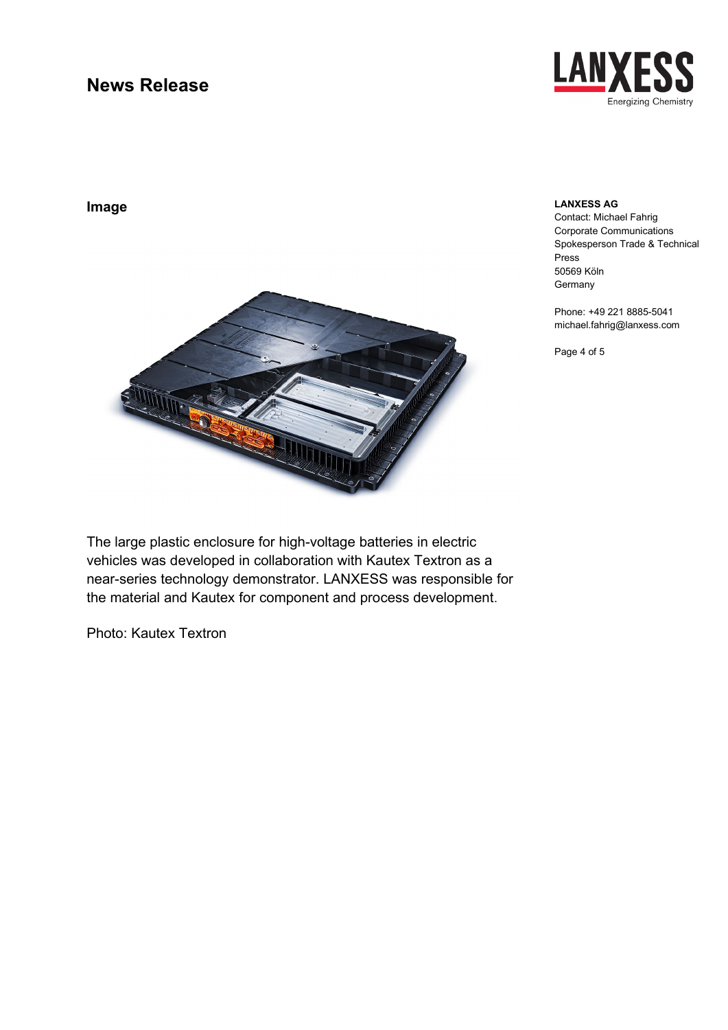

**Image**

#### **LANXESS AG**

Contact: Michael Fahrig Corporate Communications Spokesperson Trade & Technical Press 50569 Köln **Germany** 

Phone: +49 221 8885-5041 michael.fahrig@lanxess.com

Page 4 of 5



The large plastic enclosure for high-voltage batteries in electric vehicles was developed in collaboration with Kautex Textron as a near-series technology demonstrator. LANXESS was responsible for the material and Kautex for component and process development.

Photo: Kautex Textron